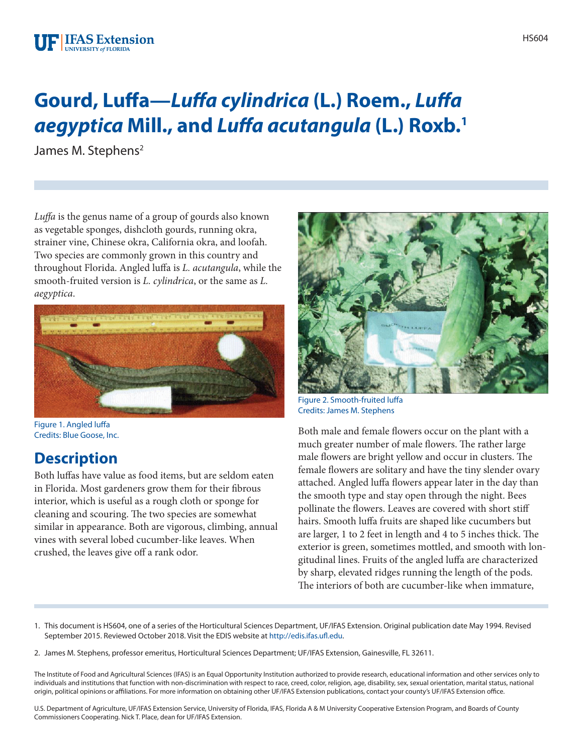#### **UF IFAS Extension** UNIVERSITY of FLORIDA

# **Gourd, Luffa—***Luffa cylindrica* **(L.) Roem.,** *Luffa aegyptica* **Mill., and** *Luffa acutangula* **(L.) Roxb.1**

James M. Stephens<sup>2</sup>

*Luffa* is the genus name of a group of gourds also known as vegetable sponges, dishcloth gourds, running okra, strainer vine, Chinese okra, California okra, and loofah. Two species are commonly grown in this country and throughout Florida. Angled luffa is *L. acutangula*, while the smooth-fruited version is *L. cylindrica*, or the same as *L. aegyptica*.



Figure 1. Angled luffa Credits: Blue Goose, Inc.

### **Description**

Both luffas have value as food items, but are seldom eaten in Florida. Most gardeners grow them for their fibrous interior, which is useful as a rough cloth or sponge for cleaning and scouring. The two species are somewhat similar in appearance. Both are vigorous, climbing, annual vines with several lobed cucumber-like leaves. When crushed, the leaves give off a rank odor.



Figure 2. Smooth-fruited luffa Credits: James M. Stephens

Both male and female flowers occur on the plant with a much greater number of male flowers. The rather large male flowers are bright yellow and occur in clusters. The female flowers are solitary and have the tiny slender ovary attached. Angled luffa flowers appear later in the day than the smooth type and stay open through the night. Bees pollinate the flowers. Leaves are covered with short stiff hairs. Smooth luffa fruits are shaped like cucumbers but are larger, 1 to 2 feet in length and 4 to 5 inches thick. The exterior is green, sometimes mottled, and smooth with longitudinal lines. Fruits of the angled luffa are characterized by sharp, elevated ridges running the length of the pods. The interiors of both are cucumber-like when immature,

- 1. This document is HS604, one of a series of the Horticultural Sciences Department, UF/IFAS Extension. Original publication date May 1994. Revised September 2015. Reviewed October 2018. Visit the EDIS website at [http://edis.ifas.ufl.edu.](http://edis.ifas.ufl.edu)
- 2. James M. Stephens, professor emeritus, Horticultural Sciences Department; UF/IFAS Extension, Gainesville, FL 32611.

The Institute of Food and Agricultural Sciences (IFAS) is an Equal Opportunity Institution authorized to provide research, educational information and other services only to individuals and institutions that function with non-discrimination with respect to race, creed, color, religion, age, disability, sex, sexual orientation, marital status, national origin, political opinions or affiliations. For more information on obtaining other UF/IFAS Extension publications, contact your county's UF/IFAS Extension office.

U.S. Department of Agriculture, UF/IFAS Extension Service, University of Florida, IFAS, Florida A & M University Cooperative Extension Program, and Boards of County Commissioners Cooperating. Nick T. Place, dean for UF/IFAS Extension.